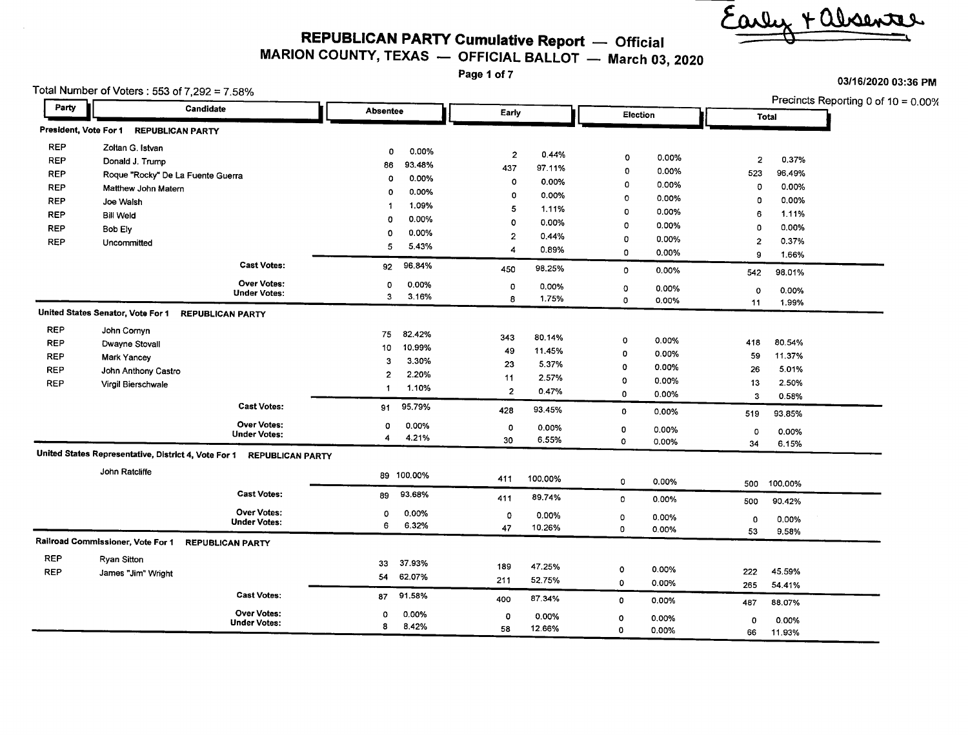arly + absenter

*03/16/2020* 03:36 PM

**REPUBLICAN PARTY Cumulative Report -** Official

MARION COUNTY, TEXAS - OFFICIAL BALLOT - March 03, 2020

Page 1 of 7

 $\sim$ 

|                    | Total Number of Voters: 553 of 7,292 = 7.58%                          |                       |                           |                       | <b>ANTIALMED AND LIMI</b><br>Precincts Reporting 0 of 10 = 0.00% |  |  |
|--------------------|-----------------------------------------------------------------------|-----------------------|---------------------------|-----------------------|------------------------------------------------------------------|--|--|
| Party<br>Candidate |                                                                       | <b>Absentee</b>       | Early                     | Election              | Total                                                            |  |  |
|                    | President, Vote For 1 REPUBLICAN PARTY                                |                       |                           |                       |                                                                  |  |  |
| <b>REP</b>         | Zoltan G. Istvan                                                      | 0.00%<br>0            |                           |                       |                                                                  |  |  |
| <b>REP</b>         | Donald J. Trump                                                       | 93.48%<br>86          | $\overline{2}$<br>0.44%   | 0<br>0.00%            | $\overline{2}$<br>0.37%                                          |  |  |
| <b>REP</b>         | Roque "Rocky" De La Fuente Guerra                                     | 0.00%<br>$\mathbf 0$  | 437<br>97.11%             | $\mathbf 0$<br>0.00%  | 523<br>96.49%                                                    |  |  |
| <b>REP</b>         | Matthew John Matern                                                   | 0.00%<br>$\Omega$     | 0.00%<br>$\circ$          | 0<br>0.00%            | 0<br>0.00%                                                       |  |  |
| <b>REP</b>         | Joe Walsh                                                             | 1.09%<br>-1           | $\mathbf 0$<br>0.00%      | 0<br>0.00%            | 0.00%<br>0                                                       |  |  |
| <b>REP</b>         | <b>Bill Weld</b>                                                      | 0.00%<br>o            | 5<br>1.11%                | 0<br>0.00%            | 1.11%<br>6                                                       |  |  |
| <b>REP</b>         | <b>Bob Ely</b>                                                        | 0.00%<br>0            | ٥<br>0.00%                | 0<br>0.00%            | 0.00%<br>$\Omega$                                                |  |  |
| <b>REP</b>         | Uncommitted                                                           |                       | $\overline{2}$<br>0.44%   | 0<br>0.00%            | 0.37%<br>$\overline{2}$                                          |  |  |
|                    |                                                                       | 5<br>5.43%            | $\boldsymbol{A}$<br>0.89% | 0<br>0.00%            | 9<br>1.66%                                                       |  |  |
|                    | <b>Cast Votes:</b>                                                    | 96.84%<br>92          | 98.25%<br>450             | $\mathbf 0$<br>0.00%  | 98.01%<br>542                                                    |  |  |
|                    | <b>Over Votes:</b>                                                    | 0.00%<br>0            | $\mathbf 0$<br>0.00%      | 0<br>0.00%            | $\circ$<br>0.00%                                                 |  |  |
|                    | <b>Under Votes:</b>                                                   | 3<br>3.16%            | 1.75%<br>8                | 0<br>0.00%            | 11<br>1.99%                                                      |  |  |
|                    | United States Senator, Vote For 1 REPUBLICAN PARTY                    |                       |                           |                       |                                                                  |  |  |
| <b>REP</b>         | John Cornyn                                                           | 82.42%<br>75          | 343<br>80.14%             |                       |                                                                  |  |  |
| <b>REP</b>         | Dwayne Stovall                                                        | 10.99%<br>10          | 49<br>11.45%              | $\mathbf 0$<br>0.00%  | 80.54%<br>418                                                    |  |  |
| <b>REP</b>         | <b>Mark Yancey</b>                                                    | 3<br>3.30%            | 23<br>5.37%               | 0<br>0.00%            | 59<br>11.37%                                                     |  |  |
| <b>REP</b>         | John Anthony Castro                                                   | $\mathbf{2}$<br>2.20% | 11<br>2.57%               | 0<br>0.00%            | 26<br>5.01%                                                      |  |  |
| <b>REP</b>         | Virgil Bierschwale                                                    | 1.10%<br>$\mathbf{1}$ | $\overline{2}$<br>0.47%   | 0<br>0.00%            | 2.50%<br>13                                                      |  |  |
|                    | <b>Cast Votes:</b>                                                    | 95.79%<br>91          |                           | $\mathbf 0$<br>0.00%  | 0.58%<br>3                                                       |  |  |
|                    |                                                                       |                       | 93.45%<br>428             | 0<br>0.00%            | 93.85%<br>519                                                    |  |  |
|                    | <b>Over Votes:</b><br><b>Under Votes:</b>                             | 0.00%<br>0            | O<br>0.00%                | 0<br>0.00%            | $\circ$<br>0.00%                                                 |  |  |
|                    |                                                                       | 4.21%<br>4            | 6.55%<br>30               | 0<br>0.00%            | 34<br>6.15%                                                      |  |  |
|                    | United States Representative, District 4, Vote For 1 REPUBLICAN PARTY |                       |                           |                       |                                                                  |  |  |
|                    | John Ratcliffe                                                        | 89 100.00%            | 411<br>100.00%            | $\mathbf 0$<br>0.00%  | 100,00%<br>500                                                   |  |  |
|                    | <b>Cast Votes:</b>                                                    | 93.68%<br>89          | 89.74%<br>411             | $\mathbf{o}$<br>0.00% | 90.42%<br>500                                                    |  |  |
|                    | <b>Over Votes:</b>                                                    | 0.00%<br>٥            | 0.00%<br>0                | $\circ$<br>0.00%      | 0<br>0.00%                                                       |  |  |
|                    | <b>Under Votes:</b>                                                   | 6<br>6.32%            | 47<br>10.26%              | $\pmb{0}$<br>0.00%    | 53<br>9.58%                                                      |  |  |
|                    | Railroad Commissioner, Vote For 1<br><b>REPUBLICAN PARTY</b>          |                       |                           |                       |                                                                  |  |  |
| <b>REP</b>         | <b>Ryan Sitton</b>                                                    | 37.93%<br>33          |                           |                       |                                                                  |  |  |
| <b>REP</b>         | James "Jim" Wright                                                    | 62.07%<br>54          | 47.25%<br>189             | $\circ$<br>0.00%      | 222<br>45.59%                                                    |  |  |
|                    |                                                                       |                       | 211<br>52 75%             | 0<br>0.00%            | 265<br>54.41%                                                    |  |  |
|                    | <b>Cast Votes:</b>                                                    | 91.58%<br>87          | 87.34%<br>400             | 0<br>0.00%            | 487<br>88.07%                                                    |  |  |
|                    | <b>Over Votes:</b>                                                    | 0.00%<br>0            | $\mathbf 0$<br>0.00%      | 0<br>0.00%            | 0.00%<br>0                                                       |  |  |
|                    | <b>Under Votes:</b>                                                   | 8<br>8.42%            | 58<br>12.66%              | $\mathbf 0$<br>0.00%  | 11.93%<br>66                                                     |  |  |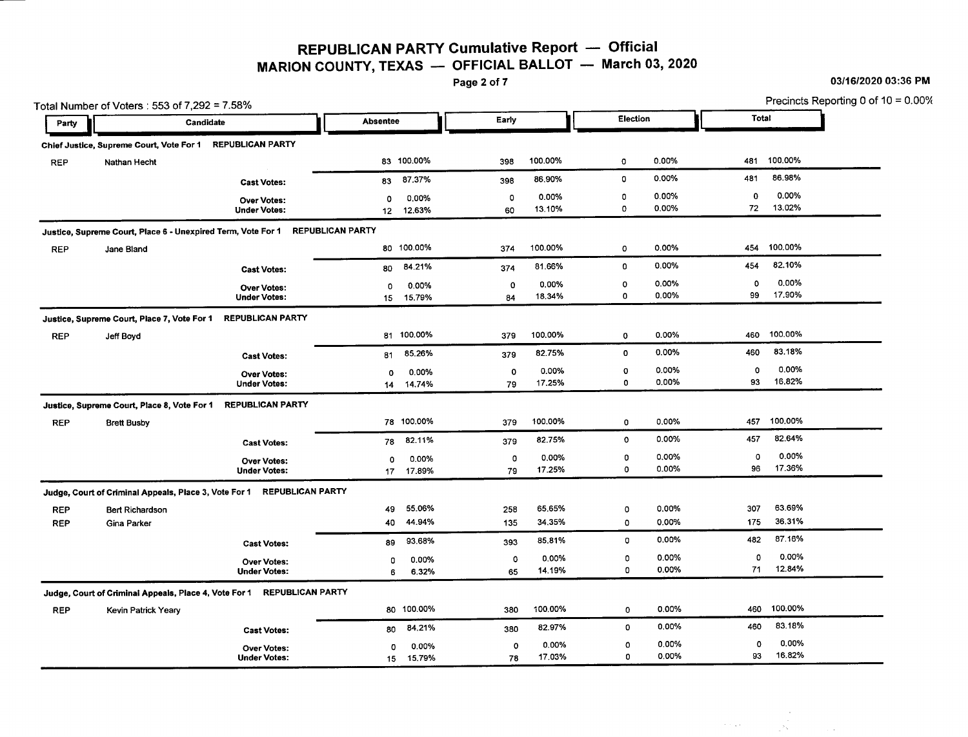REPUBLICAN PARTY Cumulative Report - Official MARION COUNTY, TEXAS  $-$  OFFICIAL BALLOT - March 03, 2020<br>Page 2 of 7

Party

Total Number of Voters: 553 of 7,292 = 7.58% Precincts Reporting 0 of 10 = 0.00% Party **Randidate** . Candidate . Candidate . Absentee . Early . Election . Election . Total

|            | Chief Justice, Supreme Court, Vote For 1                     | <b>REPUBLICAN PARTY</b> |                         |            |             |         |             |       |                      |
|------------|--------------------------------------------------------------|-------------------------|-------------------------|------------|-------------|---------|-------------|-------|----------------------|
| <b>REP</b> | Nathan Hecht                                                 |                         |                         | 83 100.00% | 398         | 100.00% | $\mathbf 0$ | 0.00% | 100.00%<br>481       |
|            |                                                              | <b>Cast Votes:</b>      | 83                      | 87.37%     | 398         | 86.90%  | $\bullet$   | 0.00% | 86.98%<br>481        |
|            |                                                              | <b>Over Votes:</b>      | $\circ$                 | 0.00%      | $\circ$     | 0.00%   | 0           | 0.00% | 0.00%<br>0           |
|            |                                                              | <b>Under Votes:</b>     | 12 <sup>7</sup>         | 12.63%     | 60          | 13.10%  | $\mathbf 0$ | 0.00% | 13.02%<br>72         |
|            | Justice, Supreme Court, Place 6 - Unexpired Term, Vote For 1 |                         | <b>REPUBLICAN PARTY</b> |            |             |         |             |       |                      |
| <b>REP</b> | Jane Bland                                                   |                         |                         | 80 100.00% | 374         | 100.00% | 0           | 0.00% | 100.00%<br>454       |
|            |                                                              | <b>Cast Votes:</b>      | 80                      | 84.21%     | 374         | 81.66%  | 0           | 0.00% | 82.10%<br>454        |
|            |                                                              | <b>Over Votes:</b>      | 0                       | 0.00%      | 0           | 0.00%   | $\circ$     | 0.00% | 0.00%<br>0           |
|            |                                                              | <b>Under Votes:</b>     | 15                      | 15.79%     | 84          | 18.34%  | 0           | 0.00% | 17.90%<br>99         |
|            | Justice, Supreme Court, Place 7, Vote For 1                  | <b>REPUBLICAN PARTY</b> |                         |            |             |         |             |       |                      |
| <b>REP</b> | Jeff Boyd                                                    |                         |                         | 81 100.00% | 379         | 100.00% | $\mathbf 0$ | 0.00% | 100.00%<br>460       |
|            |                                                              | <b>Cast Votes:</b>      | 81                      | 85.26%     | 379         | 82.75%  | $\mathbf 0$ | 0.00% | 83.18%<br>460        |
|            |                                                              | <b>Over Votes:</b>      | 0                       | 0.00%      | 0           | 0.00%   | $\mathbf 0$ | 0.00% | 0.00%<br>$\mathbf 0$ |
|            |                                                              | <b>Under Votes:</b>     | 14                      | 14.74%     | 79          | 17.25%  | 0           | 0.00% | 16,82%<br>93         |
|            | Justice, Supreme Court, Place 8, Vote For 1                  | <b>REPUBLICAN PARTY</b> |                         |            |             |         |             |       |                      |
| <b>REP</b> | <b>Brett Busby</b>                                           |                         |                         | 78 100.00% | 379         | 100.00% | 0           | 0.00% | 100.00%<br>457       |
|            |                                                              | <b>Cast Votes:</b>      | 78                      | 82.11%     | 379         | 82.75%  | 0           | 0.00% | 82.64%<br>457        |
|            |                                                              | <b>Over Votes:</b>      | 0                       | 0.00%      | $\mathbf 0$ | 0.00%   | 0           | 0.00% | 0.00%<br>$\mathbf 0$ |
|            |                                                              | <b>Under Votes:</b>     | 17                      | 17.89%     | 79          | 17.25%  | 0           | 0.00% | 17.36%<br>96         |
|            | Judge, Court of Criminal Appeals, Place 3, Vote For 1        | <b>REPUBLICAN PARTY</b> |                         |            |             |         |             |       |                      |
| <b>REP</b> | <b>Bert Richardson</b>                                       |                         | 49                      | 55.06%     | 258         | 65.65%  | o           | 0.00% | 63.69%<br>307        |
| <b>REP</b> | <b>Gina Parker</b>                                           |                         | 40                      | 44.94%     | 135         | 34.35%  | 0           | 0.00% | 36.31%<br>175        |
|            |                                                              | <b>Cast Votes:</b>      | 89                      | 93.68%     | 393         | 85,81%  | 0           | 0.00% | 87.16%<br>482        |
|            |                                                              | Over Votes:             | 0                       | 0.00%      | 0           | 0.00%   | 0           | 0.00% | 0.00%<br>$\Omega$    |
|            |                                                              | <b>Under Votes:</b>     | 6                       | 6.32%      | 65          | 14.19%  | 0           | 0.00% | 12,84%<br>71         |
|            | Judge, Court of Criminal Appeals, Place 4, Vote For 1        | <b>REPUBLICAN PARTY</b> |                         |            |             |         |             |       |                      |
| <b>REP</b> | <b>Kevin Patrick Yeary</b>                                   |                         | 80                      | 100.00%    | 380         | 100.00% | 0           | 0.00% | 100.00%<br>460       |
|            |                                                              | <b>Cast Votes:</b>      | 80                      | 84.21%     | 380         | 82.97%  | 0           | 0.00% | 83.18%<br>460        |
|            |                                                              | <b>Over Votes:</b>      | 0                       | 0.00%      | $\circ$     | 0.00%   | ٥           | 0.00% | 0.00%<br>$\circ$     |
|            |                                                              | <b>Under Votes:</b>     | 15                      | 15.79%     | 78          | 17.03%  | 0           | 0.00% | 16.82%<br>93         |

03/16/2020 03:36 PM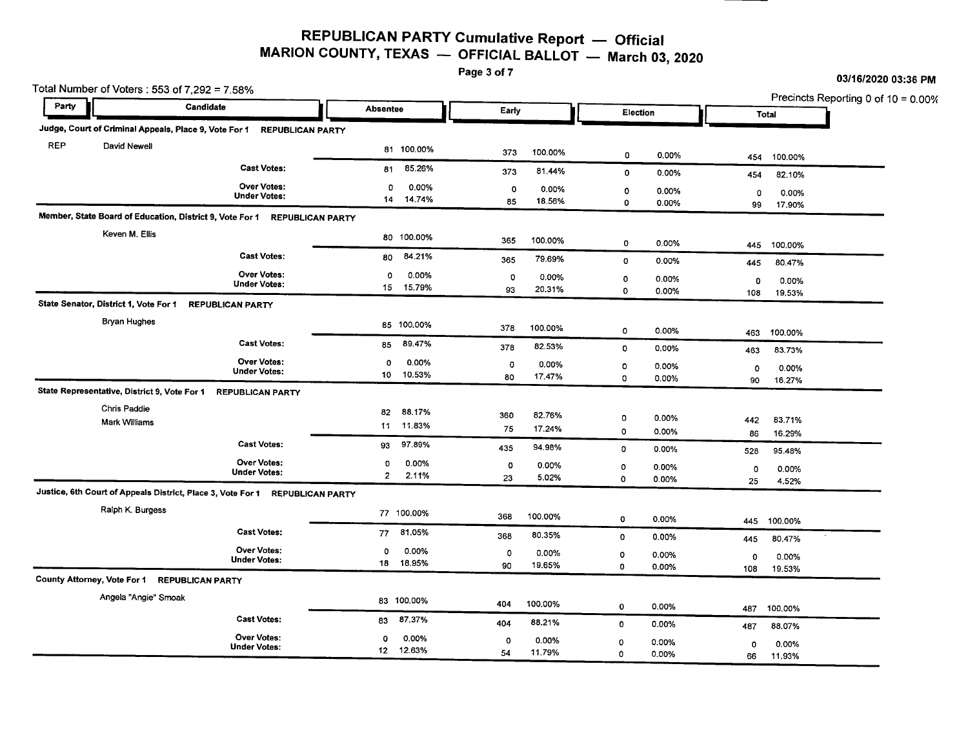## REPUBLICAN PARTY Cumulative Report - Official MARION COUNTY, TEXAS  $-$  OFFICIAL BALLOT  $-$  March 03, 2020<br>Page 3 of 7

03/16/2020 03:36 PM

Total Number of Voters: 553 of 7,292 = 7.58% Precincts Reporting 0 of 10 = 0.00%<br>
Precincts Reporting 0 of 10 = 0.00%<br>
Total Party **Party Candidate ... Candidate ... Absentee ... Early ... Election** ... Election ... Total<br>Judge, Court of Criminal Appeals, Place 9, Vote For 1 REPUBLICAN PARTY **•** REP David Newell 2008 81 100.00% 373 100.00% 0 0.00% 454 100.00% 454 100.00% 0 0.000 454 100.00 Cast Votes: <sup>81</sup> 85.26% <sup>373</sup> 81.44% <sup>0</sup> 0.00% <sup>454</sup> 82.10% Under Votes: **Over Votes:** Votes: <sup>0</sup> 0.00% <sup>0</sup> 0.00% <sup>0</sup> 0.00% <sup>0</sup> 0.00% <sup>14</sup> 14.74% <sup>85</sup> 18.56% <sup>0</sup> 0.00% <sup>99</sup> 17.90% Member, State Board of Education, District 9, Vote For 1 REPUBLICAN PARTY Keven M. Ellis <sup>80</sup> 100.00% <sup>365</sup> 100.00% <sup>0</sup> 0.00% <sup>445</sup> 100.00% Cast Votes: <sup>80</sup> 84.21% <sup>365</sup> 79.69% <sup>0</sup> 0.00% <sup>445</sup> 80.47% Under Votes: **Over Votes:** Votes: <sup>0</sup> 0.00% <sup>0</sup> 0.00% <sup>0</sup> 0.00% <sup>0</sup> 0.00% <sup>15</sup> 15.79% <sup>93</sup> 20.31% <sup>0</sup> 0.00% <sup>108</sup> 19.53% State Senator, District 1, Vote For 1 REPUBLICAN PARTY Bryan Hughes <sup>85</sup> 100.00% <sup>378</sup> 100.00% <sup>0</sup> 0.00% <sup>463</sup> 100.00% Cast Votes: <sup>85</sup> 89.47% <sup>378</sup> 82.53% <sup>0</sup> 0.00% <sup>463</sup> 83.73% Under Votes: **Over Votes:** Votes: <sup>0</sup> 0.00% <sup>0</sup> 0.00% <sup>0</sup> 0.00% <sup>0</sup> 0.00% <sup>10</sup> 10.53% <sup>80</sup> 17.47% <sup>0</sup> 0.00% <sup>90</sup> 16.27% State Representative, District 9, Vote For 1 REPUBLICAN PARTY Chris Paddie Mark Williams <sup>82</sup> 88.17% <sup>360</sup> 82.76% <sup>0</sup> 0.00% <sup>442</sup> 83.71% <sup>11</sup> 11.83% <sup>75</sup> 17.24% <sup>0</sup> 0.00% <sup>86</sup> 16.29% Cast Votes: <sup>93</sup> 97.89% <sup>435</sup> 94.98% <sup>0</sup> 0.00% <sup>528</sup> 95.48% Under Votes: **Over Votes:** Votes: <sup>0</sup> 0.00% <sup>0</sup> 0.00% <sup>0</sup> 0.00% <sup>0</sup> 0.00% <sup>2</sup> 2.11% <sup>23</sup> 5.02% <sup>0</sup> 0.00% <sup>25</sup> 4.52% Justice, 6th Court of Appeals District, Place 3, Vote For 1 REPUBLICAN PARTY Ralph K. Burgess <sup>77</sup> 100.00% <sup>368</sup> 100.00% <sup>0</sup> 0.00% <sup>445</sup> 100.00% Cast Votes: <sup>77</sup> 81.05% <sup>368</sup> 80.35% <sup>0</sup> 0.00% <sup>445</sup> 80.47% Under Votes: **Over Votes:** Votes: <sup>0</sup> 0.00% <sup>0</sup> 0.00% <sup>0</sup> 0.00% <sup>0</sup> 0.00% <sup>18</sup> 18.95% <sup>90</sup> 19.65% <sup>0</sup> 0.00% <sup>108</sup> 19.53% County Attorney, Vote For 1 REPUBLICAN PARTY Angela "Angie" Smoak <sup>83</sup> 100.00% <sup>404</sup> 100.00% <sup>0</sup> 0.00% <sup>487</sup> 100.00% Cast Votes: <sup>83</sup> 87.37% <sup>404</sup> 88.21% <sup>0</sup> 0.00% <sup>487</sup> 88.07% Under Votes: Over Votes: Votes: <sup>0</sup> 0.00% <sup>0</sup> 0.00% <sup>0</sup> 0.00% <sup>0</sup> 0.00% <sup>12</sup> 12.63% <sup>54</sup> 11.79% <sup>0</sup> 0.00% <sup>66</sup> 11.93%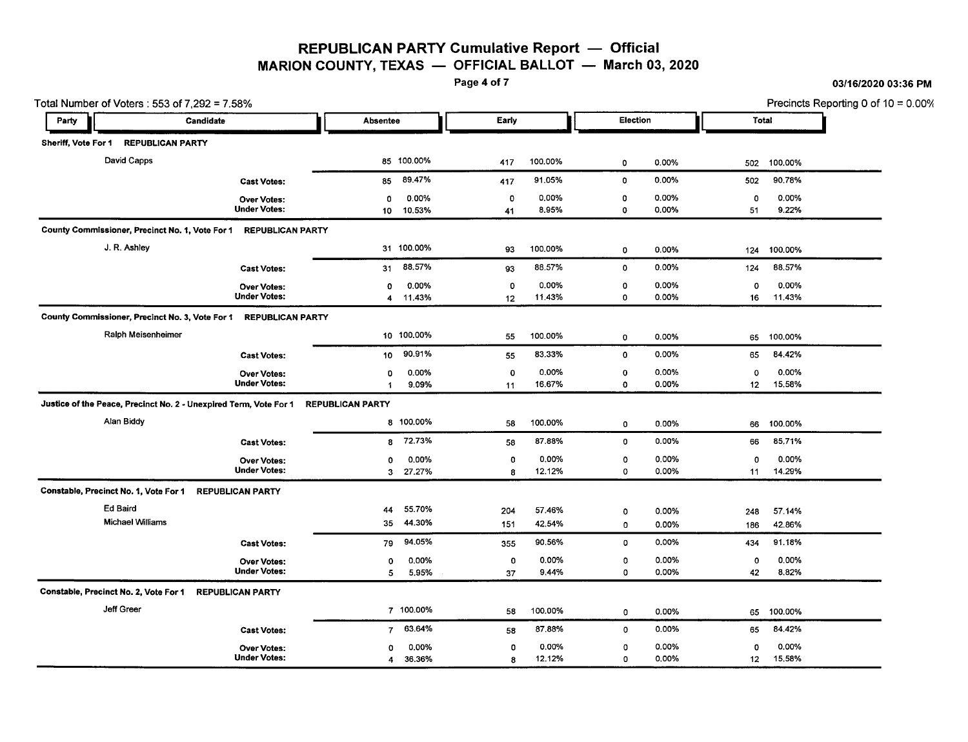### **REPUBLICAN PARTY Cumulative Report** - **Official MARION COUNTY, TEXAS** - **OFFICIAL BALLOT** - **March** 03, 2020<br>Page 4 of 7

Page 4 of7 *03/16/202003:36* **PM**

Total Number of Voters: 553 of 7,292 = 7.58% Precincts Reporting 0 of 10 = 0.00% **I** Party ~I Candidate ~I Absentee ~I Early ~I Election ~I Total Sheriff, Vote For 1 REPUBLICANPARTY **•** David Capps 85 100.00% 417 100.00% 0 0.00% 502 100.00% Cast Votes: 85 89.47% 417 91.05% 0 0.00% 502 90.78% Over Votes: 0 0.00% 0 0.00% 0 0.00% 0 0.00% Under Votes: 10 10.53% 41 8.95% 0 0.00% 51 9.22% County Commissioner, Precinct No.1, Vote For 1 REPUBLICANPARTY J. R. Ashley 31 100.00% 93 100.00% 0 0.00% 124 100.00% Cast Votes: 31 88.57% 93 88.57% 0 0.00% 124 88.57% Over Votes: 0 0.00% 0 0.00% 0 0.00% 0 0.00% Under Votes: 4 11.43% 12 11.43% 0 0.00% 16 11.43% County Commissioner, Precinct No. 3, Vote For 1 REPUBLICAN PARTY Ralph Meisenheimer 10 100.00% 55 100.00% 0 0.00% 65 100.00% Cast Votes: 10 90.91% 55 83.33% 0 0.00% 65 84.42% Over Votes: 0 0.00% 0 0.00% 0 0.00% 0 0.00% Under Votes: 9.09% 11 16.67% 0 0.00% 12 15.58% Justice of the Peace, Precinct No. 2 - Unexpired Term, Vote For 1 REPUBLICAN PARTY Alan Biddy 8 100.00% 58 100.00% 0 0.00% 66 100.00% Cast Votes: 8 72.73% 58 87.88% 0 0.00% 66 85.71% Over Votes: 0 0.00% 0 0.00% 0 0.00% 0 0.00% Under Votes: 3 27.27% 8 12.12% 0 0.00% 11 14.29% Constable, Precinct No.1, Vote For 1 REPUBLICAN PARTY Ed Baird 44 55.70% 204 57.46% 0 0.00% 248 57.14% Michael Williams 35 44.30% 151 42.54% 0 0.00% 186 42.86% Cast Votes: 79 94.05% 355 90.56% 0 0.00% 434 91.18% Over Votes: 0 0.00% 0 0.00% 0 0.00% 0 0.00% Under Votes: 5 5.95% 37 9.44% 0 0.00% 42 8.82% Constable, Precinct No.2, Vote For 1 REPUBLICAN PARTY Jeff Greer 7 100.00% 58 100.00% 0 0.00% 65 100.00% Cast Votes: 7 63.64% 58 87.88% 0 0.00% 65 84.42% Over Votes: 0 0.00% 0 0.00% 0 0.00% 0 0.00% Under Votes: 4 36.36% 8 12.12% 0 0.00% 12 15.58%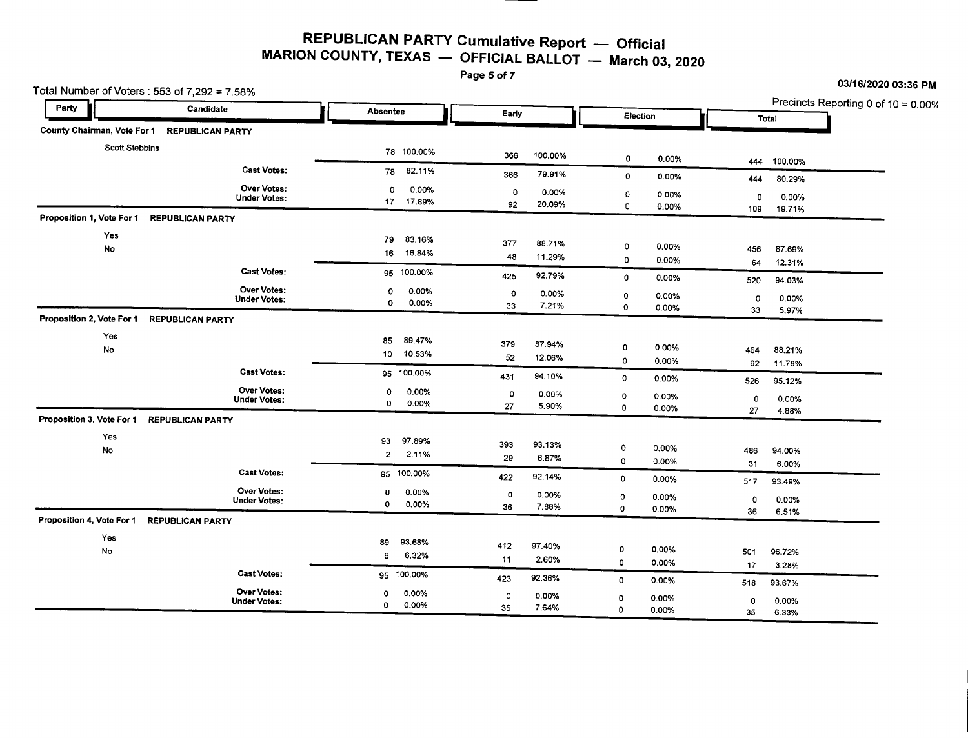#### **REPUBLICAN PARTY Cumulative Report** - **Official MARION COUNTY, TEXAS** - **OFFICIAL BALLOT** - **March** 03, **<sup>2020</sup>**

Page 5 of 7

Total Number of Voters: 553 of 7,292 = 7.58% Precincts Reporting 0 of 10 = 0.00%<br> **Party** Candidate **Absentee** Absentee Early Election Total Total **I** Party **Party Candidate Candidate . Absentee . Absentee . Party . Party . Party . Party . Party . Party . Party . Party . Party . Party . Party . Party . Party . Party . Party . Party . Party . Party . Party . Party . Party •** County Chainnan, Vote For 1 REPUBLICAN PARTY Scott Stebbins 78 100.00% 366 100.00% 0 0.00% 444 100.00% Cast Votes: <sup>78</sup> 82.11% <sup>366</sup> 79.91% <sup>0</sup> 0.00% <sup>444</sup> 80.29% Under Votes: **Over Votes:** Votes: <sup>0</sup> 0.00% <sup>0</sup> 0.00% <sup>0</sup> 0.00% <sup>0</sup> 0.00% <sup>17</sup> 17.89% <sup>92</sup> 20.09% <sup>0</sup> 0.00% <sup>109</sup> 19.71% Proposition 1, Vote For 1 REPUBLICAN PARTY Yes <sup>79</sup> 83.16% 19 05.10% 16 16.84% 17 11.29% 0 0.00% 456 87.69% 16 16.84% 11.29% 0 0.00% 64 12.31% 0 0.00% 64 12.31% 0 0.00% 1 Cast Votes: <sup>95</sup> 100.00% <sup>425</sup> 92.79% <sup>0</sup> 0.00% <sup>520</sup> 94.03% Under Votes: Over Votes: <sup>0</sup> 0.00% <sup>0</sup> 0.00% <sup>0</sup> 0.00% <sup>0</sup> 0.00% <sup>0</sup> 0.00% <sup>33</sup> 7.21% <sup>0</sup> 0.00% <sup>33</sup> 5.97% Proposition 2, Vote For 1 REPUBLICAN PARTY Yes <sup>85</sup> 89.47% 00 379 87.94% 0 0.00% 464 88.21% 10 10.53% 52 12.06% 0 0.00% 464 88.21% 0 0.00% 0 0.00% 0 0.00% 62 11.79% 0 0.<br>بیروی کلای بیروی میں سے 11.79% 10 0.00% 62 11.79% میں بیروی میں ایک میں ایک میں ایک میں ایک میں ایک میں ایک می Cast Votes: **95 100.00% 1201 94.10% 0 0.00% 526 95.12**% Under Votes: Over Votes: <sup>0</sup> 0.00% <sup>0</sup> 0.00% <sup>0</sup> 0.00% <sup>0</sup> 0.00% <sup>0</sup> 0.00% <sup>27</sup> 5.90% <sup>0</sup> 0.00% <sup>27</sup> 4.88% Proposition 3, Vote For 1 REPUBLICAN PARTY Yes <sup>93</sup> 97.89% 0 0.00% 486 94.00% 35 37.05% 393 93.13% 0 0.00% 486 94.00% 486 94.00% 393 93.13% 0 0.00% 486 94.00% 486 94.00%<br>2<u>2 2.11% 29 6.87% 0 0.00%</u> 31 6.00% 31 6.00% Cast Votes: **95 100.00%** 422 92.14% 0 0.00% 517 93.49% Under Votes: **Over Votes:** Votes: <sup>0</sup> 0.00% <sup>0</sup> 0.00% <sup>0</sup> 0.00% <sup>0</sup> 0.00% <sup>0</sup> 0.00% <sup>36</sup> 7.86% <sup>0</sup> 0.00% <sup>36</sup> 6.51% Proposition 4, Vote For 1 REPUBLICAN PARTY Yes <sup>89</sup> 93.68% 0 0.00% 501 96.72% 6 6.32% 6 6.32% 11 2.60% 0 0.00% 501 96.72% 17 3.28% 0 0.00% 501 96.72% 0 0.00% 501 96.72% Cast Votes: <sup>95</sup> 100.00% <sup>423</sup> 92.36% <sup>0</sup> 0.00% <sup>518</sup> 93.67% Under Votes: **Over Votes:** Votes: <sup>0</sup> 0.00% <sup>0</sup> 0.00% <sup>0</sup> 0.00% <sup>0</sup> 0.00% <sup>0</sup> 0.00% <sup>35</sup> 7.64% <sup>0</sup> 0.00% <sup>35</sup> 6.33%

*031161202003:36* **PM**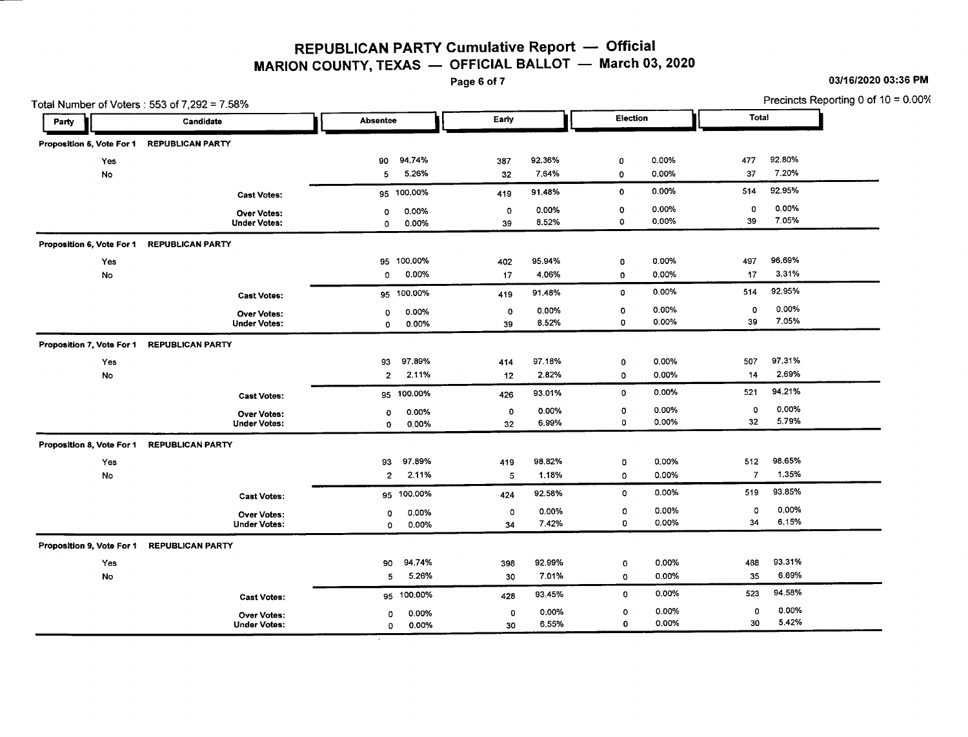# **REPUBLICAN PARTY Cumulative Report** - **Official MARION COUNTY, TEXAS** - **OFFICIAL BALLOT** - **March** 03, 2020<br>Page 6 of 7

Page 60f7 *03/16/202003:36* **PM**

|                           | Total Number of Voters: 553 of 7,292 = 7.58% |                          | Precincts Reporting 0 of 10 = 0.00% |                |              |                |                |                |  |
|---------------------------|----------------------------------------------|--------------------------|-------------------------------------|----------------|--------------|----------------|----------------|----------------|--|
| Party                     | Candidate                                    | Absentee                 | Early                               |                | Election     |                | Total          |                |  |
| Proposition 5, Vote For 1 | <b>REPUBLICAN PARTY</b>                      |                          |                                     |                |              |                |                |                |  |
| Yes                       |                                              | 94.74%<br>90             | 387                                 | 92.36%         | 0            | 0.00%          | 477            | 92.80%         |  |
| No                        |                                              | 5.26%<br>5               | 32                                  | 7.64%          | 0            | 0.00%          | 37             | 7.20%          |  |
|                           | <b>Cast Votes:</b>                           | 95 100.00%               | 419                                 | 91.48%         | 0            | 0.00%          | 514            | 92.95%         |  |
|                           | <b>Over Votes:</b><br><b>Under Votes:</b>    | 0.00%<br>o<br>0.00%<br>0 | 0<br>39                             | 0.00%<br>8.52% | o<br>$\circ$ | 0.00%<br>0.00% | 0<br>39        | 0.00%<br>7.05% |  |
| Proposition 6, Vote For 1 | <b>REPUBLICAN PARTY</b>                      |                          |                                     |                |              |                |                |                |  |
| Yes                       |                                              | 100.00%<br>95            | 402                                 | 95.94%         | 0            | 0.00%          | 497            | 96.69%         |  |
| No                        |                                              | 0.00%<br>0               | 17                                  | 4.06%          | $\mathbf 0$  | 0.00%          | 17             | 3.31%          |  |
|                           | <b>Cast Votes:</b>                           | 95 100.00%               | 419                                 | 91.48%         | 0            | 0.00%          | 514            | 92.95%         |  |
|                           | <b>Over Votes:</b>                           | 0.00%<br>0               | $\circ$                             | 0.00%          | 0            | $0.00\%$       | 0              | 0.00%          |  |
|                           | <b>Under Votes:</b>                          | 0.00%<br>0               | 39                                  | 8.52%          | $\mathbf 0$  | 0.00%          | 39             | 7.05%          |  |
| Proposition 7, Vote For 1 | <b>REPUBLICAN PARTY</b>                      |                          |                                     |                |              |                |                |                |  |
| Yes                       |                                              | 97.89%<br>93             | 414                                 | 97.18%         | $\bf{0}$     | 0.00%          | 507            | 97.31%         |  |
| No                        |                                              | 2.11%<br>$\overline{2}$  | 12                                  | 2.82%          | $\circ$      | 0.00%          | 14             | 2.69%          |  |
|                           | <b>Cast Votes:</b>                           | 95 100.00%               | 426                                 | 93.01%         | $\mathbf 0$  | 0.00%          | 521            | 94.21%         |  |
|                           | <b>Over Votes:</b>                           | 0.00%<br>0               | 0                                   | 0.00%          | 0            | 0.00%          | 0              | 0.00%          |  |
|                           | <b>Under Votes:</b>                          | 0.00%<br>$\mathbf 0$     | 32                                  | 6.99%          | $\mathbf C$  | 0.00%          | 32             | 5.79%          |  |
| Proposition 8, Vote For 1 | <b>REPUBLICAN PARTY</b>                      |                          |                                     |                |              |                |                |                |  |
| Yes                       |                                              | 97.89%<br>93             | 419                                 | 98.82%         | 0            | 0.00%          | 512            | 98.65%         |  |
| No                        |                                              | 2.11%<br>$\overline{2}$  | 5                                   | 1.18%          | 0            | 0.00%          | $\overline{7}$ | 1.35%          |  |
|                           | <b>Cast Votes:</b>                           | 95 100.00%               | 424                                 | 92.58%         | 0            | 0.00%          | 519            | 93.85%         |  |
|                           | <b>Over Votes:</b>                           | 0.00%<br>$\circ$         | 0                                   | 0.00%          | 0            | 0.00%          | 0              | 0.00%          |  |
|                           | <b>Under Votes:</b>                          | 0.00%<br>0               | 34                                  | 7.42%          | 0            | 0.00%          | 34             | 6.15%          |  |
| Proposition 9, Vote For 1 | <b>REPUBLICAN PARTY</b>                      |                          |                                     |                |              |                |                |                |  |
| Yes                       |                                              | 94.74%<br>90             | 398                                 | 92.99%         | 0            | 0.00%          | 488            | 93.31%         |  |
| No                        |                                              | 5.26%<br>5               | 30                                  | 7.01%          | 0            | 0.00%          | 35             | 6.69%          |  |
|                           | <b>Cast Votes:</b>                           | 95 100.00%               | 428                                 | 93.45%         | 0            | 0.00%          | 523            | 94,58%         |  |
|                           | Over Votes:                                  | 0.00%<br>0               | 0                                   | 0.00%          | 0            | 0.00%          | 0              | 0.00%          |  |
|                           | <b>Under Votes:</b>                          | 0.00%<br>0               | 30                                  | 6.55%          | 0            | 0.00%          | 30             | 5.42%          |  |